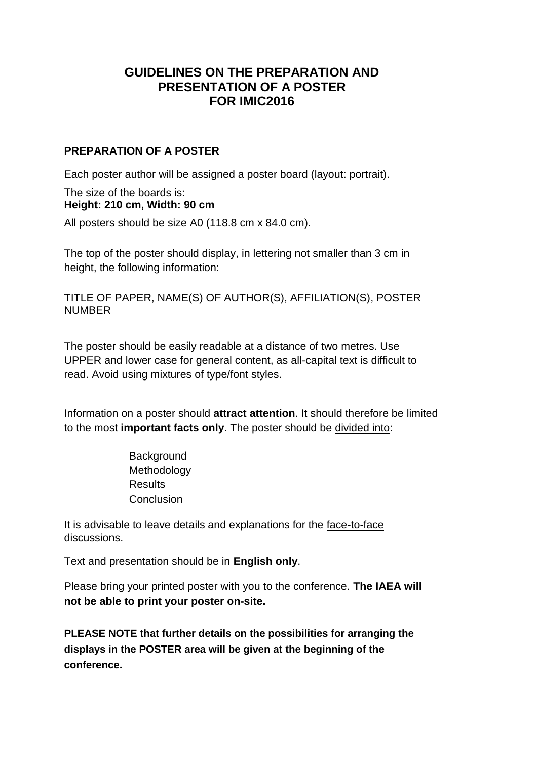## **GUIDELINES ON THE PREPARATION AND PRESENTATION OF A POSTER FOR IMIC2016**

## **PREPARATION OF A POSTER**

Each poster author will be assigned a poster board (layout: portrait).

## The size of the boards is: **Height: 210 cm, Width: 90 cm**

All posters should be size A0 (118.8 cm x 84.0 cm).

The top of the poster should display, in lettering not smaller than 3 cm in height, the following information:

TITLE OF PAPER, NAME(S) OF AUTHOR(S), AFFILIATION(S), POSTER NUMBER

The poster should be easily readable at a distance of two metres. Use UPPER and lower case for general content, as all-capital text is difficult to read. Avoid using mixtures of type/font styles.

Information on a poster should **attract attention**. It should therefore be limited to the most **important facts only**. The poster should be divided into:

> **Background** Methodology **Results Conclusion**

It is advisable to leave details and explanations for the face-to-face discussions.

Text and presentation should be in **English only**.

Please bring your printed poster with you to the conference. **The IAEA will not be able to print your poster on-site.**

**PLEASE NOTE that further details on the possibilities for arranging the displays in the POSTER area will be given at the beginning of the conference.**